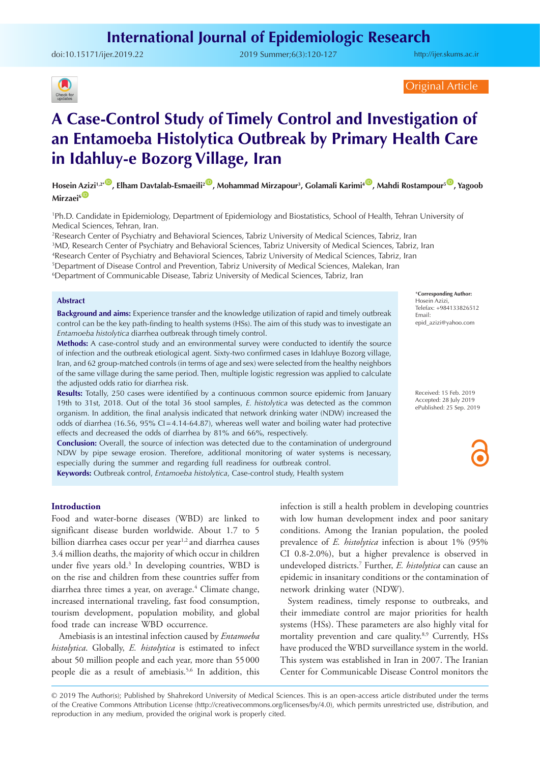## **International Journal of Epidemiologic Research**

doi:10.15171/ijer.2019.22 2019 Summer;6(3):120-127

<http://ijer.skums.ac.ir>



Original Article

# **A Case-Control Study of Timely Control and Investigation of an Entamoeba Histolytica Outbreak by Primary Health Care in Idahluy-e Bozorg Village, Iran**

**Hosein Azizi1,2\*** [ID](http://orcid.org/0000-0002-4163-6158) **, Elham Davtalab-Esmaeili2** [ID](http://orcid.org/0000-0002-6811-6881) **, Mohammad Mirzapour3 , Golamali Karimi4** [ID](http://orcid.org/0000-0002-3879-2694) **, Mahdi Rostampour5** [ID](http://orcid.org/0000-0001-9635-218X) **, Yagoob Mirzaei**<sup>6</sub></sup>

1 Ph.D. Candidate in Epidemiology, Department of Epidemiology and Biostatistics, School of Health, Tehran University of Medical Sciences, Tehran, Iran.

 Research Center of Psychiatry and Behavioral Sciences, Tabriz University of Medical Sciences, Tabriz, Iran MD, Research Center of Psychiatry and Behavioral Sciences, Tabriz University of Medical Sciences, Tabriz, Iran Research Center of Psychiatry and Behavioral Sciences, Tabriz University of Medical Sciences, Tabriz, Iran Department of Disease Control and Prevention, Tabriz University of Medical Sciences, Malekan, Iran

6 Department of Communicable Disease, Tabriz University of Medical Sciences, Tabriz, Iran

## **Abstract**

**Background and aims:** Experience transfer and the knowledge utilization of rapid and timely outbreak control can be the key path-finding to health systems (HSs). The aim of this study was to investigate an *Entamoeba histolytica* diarrhea outbreak through timely control.

**Methods:** A case-control study and an environmental survey were conducted to identify the source of infection and the outbreak etiological agent. Sixty-two confirmed cases in Idahluye Bozorg village, Iran, and 62 group-matched controls (in terms of age and sex) were selected from the healthy neighbors of the same village during the same period. Then, multiple logistic regression was applied to calculate the adjusted odds ratio for diarrhea risk.

**Results:** Totally, 250 cases were identified by a continuous common source epidemic from January 19th to 31st, 2018. Out of the total 36 stool samples, *E. histolytica* was detected as the common organism. In addition, the final analysis indicated that network drinking water (NDW) increased the odds of diarrhea (16.56, 95% CI=4.14-64.87), whereas well water and boiling water had protective effects and decreased the odds of diarrhea by 81% and 66%, respectively.

**Conclusion:** Overall, the source of infection was detected due to the contamination of underground NDW by pipe sewage erosion. Therefore, additional monitoring of water systems is necessary, especially during the summer and regarding full readiness for outbreak control. **Keywords:** Outbreak control, *Entamoeba histolytica*, Case-control study, Health system

#### **Introduction**

Food and water-borne diseases (WBD) are linked to significant disease burden worldwide. About 1.7 to 5 billion diarrhea cases occur per year<sup>1,2</sup> and diarrhea causes 3.4 million deaths, the majority of which occur in children under five years old.3 In developing countries, WBD is on the rise and children from these countries suffer from diarrhea three times a year, on average.<sup>4</sup> Climate change, increased international traveling, fast food consumption, tourism development, population mobility, and global food trade can increase WBD occurrence.

Amebiasis is an intestinal infection caused by *Entamoeba histolytica*. Globally, *E. histolytica* is estimated to infect about 50 million people and each year, more than 55000 people die as a result of amebiasis.<sup>5,6</sup> In addition, this

infection is still a health problem in developing countries with low human development index and poor sanitary conditions. Among the Iranian population, the pooled prevalence of *E. histolytica* infection is about 1% (95% CI 0.8-2.0%), but a higher prevalence is observed in undeveloped districts.7 Further, *E. histolytica* can cause an epidemic in insanitary conditions or the contamination of network drinking water (NDW).

System readiness, timely response to outbreaks, and their immediate control are major priorities for health systems (HSs). These parameters are also highly vital for mortality prevention and care quality.<sup>8,9</sup> Currently, HSs have produced the WBD surveillance system in the world. This system was established in Iran in 2007. The Iranian Center for Communicable Disease Control monitors the

© 2019 The Author(s); Published by Shahrekord University of Medical Sciences. This is an open-access article distributed under the terms of the Creative Commons Attribution License (http://creativecommons.org/licenses/by/4.0), which permits unrestricted use, distribution, and reproduction in any medium, provided the original work is properly cited.

\***Corresponding Author:** Hosein Azizi, Telefax: +984133826512 Email: epid\_azizi@yahoo.com

Received: 15 Feb. 2019 Accepted: 28 July 2019 ePublished: 25 Sep. 2019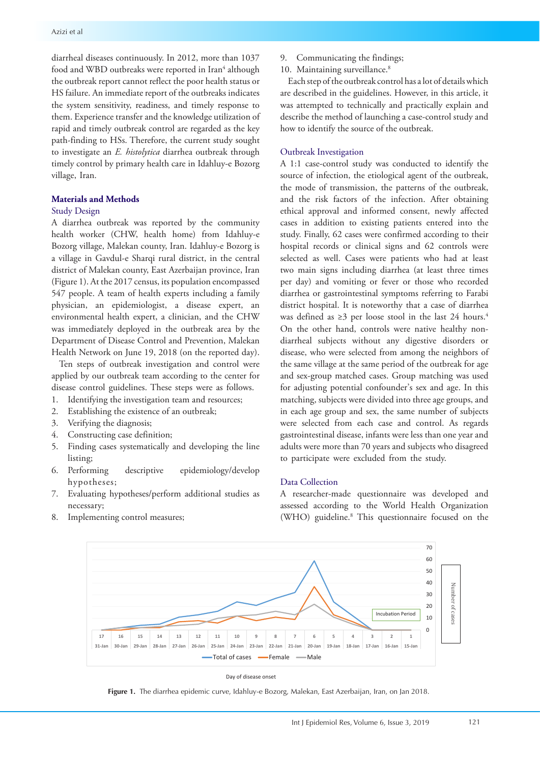diarrheal diseases continuously. In 2012, more than 1037 food and WBD outbreaks were reported in Iran<sup>4</sup> although the outbreak report cannot reflect the poor health status or HS failure. An immediate report of the outbreaks indicates the system sensitivity, readiness, and timely response to them. Experience transfer and the knowledge utilization of rapid and timely outbreak control are regarded as the key path-finding to HSs. Therefore, the current study sought to investigate an *E. histolytica* diarrhea outbreak through timely control by primary health care in Idahluy-e Bozorg village, Iran.

## **Materials and Methods**

## Study Design

A diarrhea outbreak was reported by the community health worker (CHW, health home) from Idahluy-e Bozorg village, Malekan county, Iran. Idahluy-e Bozorg is a village in Gavdul-e Sharqi rural district, in the central district of Malekan county, East Azerbaijan province, Iran (Figure 1). At the 2017 census, its population encompassed 547 people. A team of health experts including a family physician, an epidemiologist, a disease expert, an environmental health expert, a clinician, and the CHW was immediately deployed in the outbreak area by the Department of Disease Control and Prevention, Malekan Health Network on June 19, 2018 (on the reported day).

Ten steps of outbreak investigation and control were applied by our outbreak team according to the center for disease control guidelines. These steps were as follows.

- 1. Identifying the investigation team and resources;
- 2. Establishing the existence of an outbreak;
- 3. Verifying the diagnosis;
- 4. Constructing case definition;
- 5. Finding cases systematically and developing the line listing;
- 6. Performing descriptive epidemiology/develop hypotheses;
- 7. Evaluating hypotheses/perform additional studies as necessary;
- 8. Implementing control measures;
- 9. Communicating the findings;
- 10. Maintaining surveillance.<sup>8</sup>

Each step of the outbreak control has a lot of details which are described in the guidelines. However, in this article, it was attempted to technically and practically explain and describe the method of launching a case-control study and how to identify the source of the outbreak.

## Outbreak Investigation

A 1:1 case-control study was conducted to identify the source of infection, the etiological agent of the outbreak, the mode of transmission, the patterns of the outbreak, and the risk factors of the infection. After obtaining ethical approval and informed consent, newly affected cases in addition to existing patients entered into the study. Finally, 62 cases were confirmed according to their hospital records or clinical signs and 62 controls were selected as well. Cases were patients who had at least two main signs including diarrhea (at least three times per day) and vomiting or fever or those who recorded diarrhea or gastrointestinal symptoms referring to Farabi district hospital. It is noteworthy that a case of diarrhea was defined as  $\geq$ 3 per loose stool in the last 24 hours.<sup>4</sup> On the other hand, controls were native healthy nondiarrheal subjects without any digestive disorders or disease, who were selected from among the neighbors of the same village at the same period of the outbreak for age and sex-group matched cases. Group matching was used for adjusting potential confounder's sex and age. In this matching, subjects were divided into three age groups, and in each age group and sex, the same number of subjects were selected from each case and control. As regards gastrointestinal disease, infants were less than one year and adults were more than 70 years and subjects who disagreed to participate were excluded from the study.

### Data Collection

A researcher-made questionnaire was developed and assessed according to the World Health Organization (WHO) guideline.8 This questionnaire focused on the



#### Day of disease onset

**Figure 1.** The diarrhea epidemic curve, Idahluy-e Bozorg, Malekan, East Azerbaijan, Iran, on Jan 2018.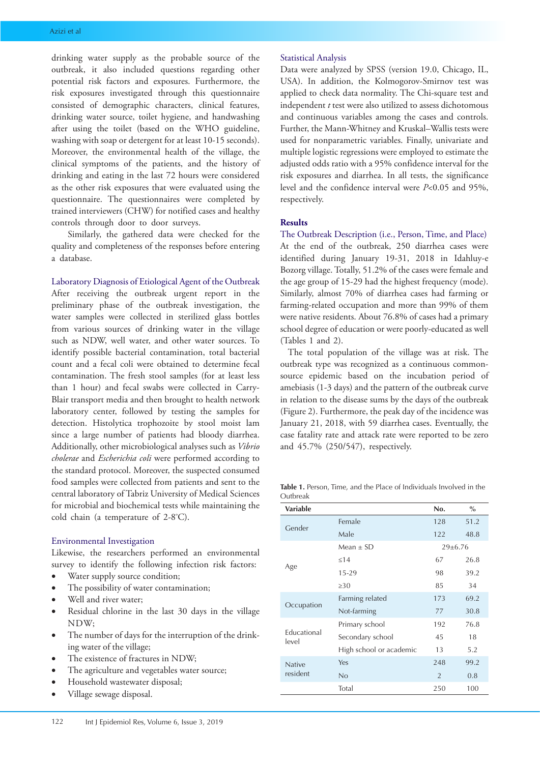drinking water supply as the probable source of the outbreak, it also included questions regarding other potential risk factors and exposures. Furthermore, the risk exposures investigated through this questionnaire consisted of demographic characters, clinical features, drinking water source, toilet hygiene, and handwashing after using the toilet (based on the WHO guideline, washing with soap or detergent for at least 10-15 seconds). Moreover, the environmental health of the village, the clinical symptoms of the patients, and the history of drinking and eating in the last 72 hours were considered as the other risk exposures that were evaluated using the questionnaire. The questionnaires were completed by trained interviewers (CHW) for notified cases and healthy controls through door to door surveys.

Similarly, the gathered data were checked for the quality and completeness of the responses before entering a database.

Laboratory Diagnosis of Etiological Agent of the Outbreak After receiving the outbreak urgent report in the preliminary phase of the outbreak investigation, the water samples were collected in sterilized glass bottles from various sources of drinking water in the village such as NDW, well water, and other water sources. To identify possible bacterial contamination, total bacterial count and a fecal coli were obtained to determine fecal contamination. The fresh stool samples (for at least less than 1 hour) and fecal swabs were collected in Carry-Blair transport media and then brought to health network laboratory center, followed by testing the samples for detection. Histolytica trophozoite by stool moist lam since a large number of patients had bloody diarrhea. Additionally, other microbiological analyses such as *Vibrio cholerae* and *Escherichia coli* were performed according to the standard protocol. Moreover, the suspected consumed food samples were collected from patients and sent to the central laboratory of Tabriz University of Medical Sciences for microbial and biochemical tests while maintaining the cold chain (a temperature of 2-8º C).

## Environmental Investigation

Likewise, the researchers performed an environmental survey to identify the following infection risk factors:

- Water supply source condition;
- The possibility of water contamination;
- Well and river water;
- Residual chlorine in the last 30 days in the village NDW;
- The number of days for the interruption of the drinking water of the village;
- The existence of fractures in NDW;
- The agriculture and vegetables water source;
- Household wastewater disposal;
- Village sewage disposal.

### Statistical Analysis

Data were analyzed by SPSS (version 19.0, Chicago, IL, USA). In addition, the Kolmogorov-Smirnov test was applied to check data normality. The Chi-square test and independent *t* test were also utilized to assess dichotomous and continuous variables among the cases and controls. Further, the Mann-Whitney and Kruskal–Wallis tests were used for nonparametric variables. Finally, univariate and multiple logistic regressions were employed to estimate the adjusted odds ratio with a 95% confidence interval for the risk exposures and diarrhea. In all tests, the significance level and the confidence interval were *P*<0.05 and 95%, respectively.

## **Results**

The Outbreak Description (i.e., Person, Time, and Place) At the end of the outbreak, 250 diarrhea cases were identified during January 19-31, 2018 in Idahluy-e Bozorg village. Totally, 51.2% of the cases were female and the age group of 15-29 had the highest frequency (mode). Similarly, almost 70% of diarrhea cases had farming or farming-related occupation and more than 99% of them were native residents. About 76.8% of cases had a primary school degree of education or were poorly-educated as well (Tables 1 and 2).

The total population of the village was at risk. The outbreak type was recognized as a continuous commonsource epidemic based on the incubation period of amebiasis (1-3 days) and the pattern of the outbreak curve in relation to the disease sums by the days of the outbreak (Figure 2). Furthermore, the peak day of the incidence was January 21, 2018, with 59 diarrhea cases. Eventually, the case fatality rate and attack rate were reported to be zero and 45.7% (250/547), respectively.

**Table 1.** Person, Time, and the Place of Individuals Involved in the Outbreak

| <b>Variable</b>             |                         | No.           | $\%$ |
|-----------------------------|-------------------------|---------------|------|
| Gender                      | Female                  | 128           | 51.2 |
|                             | Male                    | 122           | 48.8 |
| Age                         | Mean $\pm$ SD           | 29±6.76       |      |
|                             | $\leq$ 14               | 67            | 26.8 |
|                             | 15-29                   | 98            | 39.2 |
|                             | $\geq 30$               | 85            | 34   |
|                             | Farming related         | 173           | 69.2 |
| Occupation                  | Not-farming             | 77            | 30.8 |
| <b>Educational</b><br>level | Primary school          | 192           | 76.8 |
|                             | Secondary school        | 45            | 18   |
|                             | High school or academic | 13            | 5.2  |
| <b>Native</b><br>resident   | Yes                     | 248           | 99.2 |
|                             | No                      | $\mathcal{P}$ | 0.8  |
|                             | Total                   | 250           | 100  |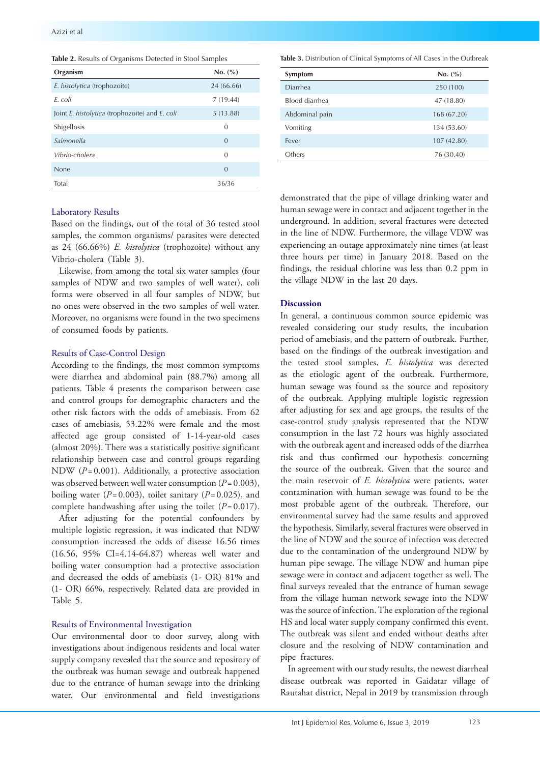|  | Table 2. Results of Organisms Detected in Stool Samples |
|--|---------------------------------------------------------|
|--|---------------------------------------------------------|

| Organism                                       | No. (%)        |
|------------------------------------------------|----------------|
| E. histolytica (trophozoite)                   | 24 (66.66)     |
| F. coli                                        | 7(19.44)       |
| Joint E. histolytica (trophozoite) and E. coli | 5(13.88)       |
| Shigellosis                                    | $\theta$       |
| Salmonella                                     | $\theta$       |
| Vibrio-cholera                                 | $\Omega$       |
| <b>None</b>                                    | $\overline{0}$ |
| Total                                          | 36/36          |

#### **Table 3.** Distribution of Clinical Symptoms of All Cases in the Outbreak

| Symptom        | No. (%)     |
|----------------|-------------|
| Diarrhea       | 250 (100)   |
| Blood diarrhea | 47 (18.80)  |
| Abdominal pain | 168 (67.20) |
| Vomiting       | 134 (53.60) |
| Fever          | 107 (42.80) |
| Others         | 76 (30.40)  |

## Laboratory Results

Based on the findings, out of the total of 36 tested stool samples, the common organisms/ parasites were detected as 24 (66.66%) *E. histolytica* (trophozoite) without any Vibrio-cholera (Table 3).

Likewise, from among the total six water samples (four samples of NDW and two samples of well water), coli forms were observed in all four samples of NDW, but no ones were observed in the two samples of well water. Moreover, no organisms were found in the two specimens of consumed foods by patients.

## Results of Case-Control Design

According to the findings, the most common symptoms were diarrhea and abdominal pain (88.7%) among all patients. Table 4 presents the comparison between case and control groups for demographic characters and the other risk factors with the odds of amebiasis. From 62 cases of amebiasis, 53.22% were female and the most affected age group consisted of 1-14-year-old cases (almost 20%). There was a statistically positive significant relationship between case and control groups regarding NDW (*P*=0.001). Additionally, a protective association was observed between well water consumption (*P*=0.003), boiling water  $(P=0.003)$ , toilet sanitary  $(P=0.025)$ , and complete handwashing after using the toilet (*P*= 0.017).

After adjusting for the potential confounders by multiple logistic regression, it was indicated that NDW consumption increased the odds of disease 16.56 times (16.56, 95% CI=4.14-64.87) whereas well water and boiling water consumption had a protective association and decreased the odds of amebiasis (1- OR) 81% and (1- OR) 66%, respectively. Related data are provided in Table 5.

### Results of Environmental Investigation

Our environmental door to door survey, along with investigations about indigenous residents and local water supply company revealed that the source and repository of the outbreak was human sewage and outbreak happened due to the entrance of human sewage into the drinking water. Our environmental and field investigations demonstrated that the pipe of village drinking water and human sewage were in contact and adjacent together in the underground. In addition, several fractures were detected in the line of NDW. Furthermore, the village VDW was experiencing an outage approximately nine times (at least three hours per time) in January 2018. Based on the findings, the residual chlorine was less than 0.2 ppm in the village NDW in the last 20 days.

## **Discussion**

In general, a continuous common source epidemic was revealed considering our study results, the incubation period of amebiasis, and the pattern of outbreak. Further, based on the findings of the outbreak investigation and the tested stool samples, *E. histolytica* was detected as the etiologic agent of the outbreak. Furthermore, human sewage was found as the source and repository of the outbreak. Applying multiple logistic regression after adjusting for sex and age groups, the results of the case-control study analysis represented that the NDW consumption in the last 72 hours was highly associated with the outbreak agent and increased odds of the diarrhea risk and thus confirmed our hypothesis concerning the source of the outbreak. Given that the source and the main reservoir of *E. histolytica* were patients, water contamination with human sewage was found to be the most probable agent of the outbreak. Therefore, our environmental survey had the same results and approved the hypothesis. Similarly, several fractures were observed in the line of NDW and the source of infection was detected due to the contamination of the underground NDW by human pipe sewage. The village NDW and human pipe sewage were in contact and adjacent together as well. The final surveys revealed that the entrance of human sewage from the village human network sewage into the NDW was the source of infection. The exploration of the regional HS and local water supply company confirmed this event. The outbreak was silent and ended without deaths after closure and the resolving of NDW contamination and pipe fractures.

In agreement with our study results, the newest diarrheal disease outbreak was reported in Gaidatar village of Rautahat district, Nepal in 2019 by transmission through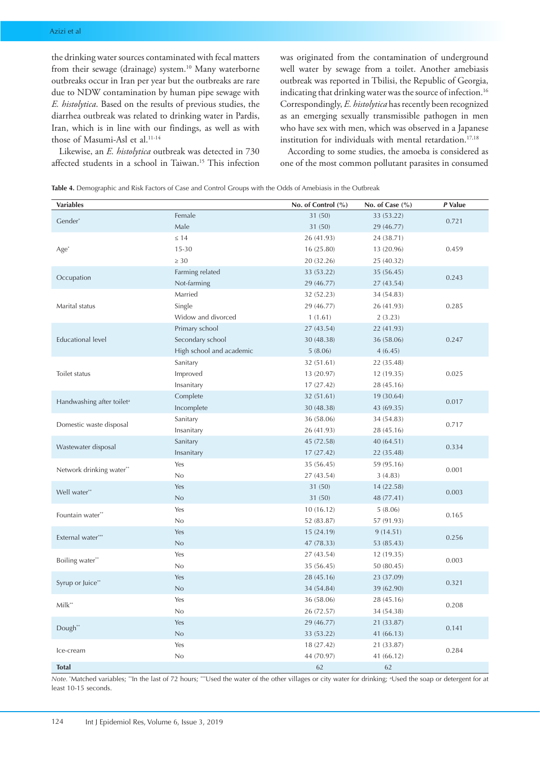the drinking water sources contaminated with fecal matters from their sewage (drainage) system.<sup>10</sup> Many waterborne outbreaks occur in Iran per year but the outbreaks are rare due to NDW contamination by human pipe sewage with *E. histolytica*. Based on the results of previous studies, the diarrhea outbreak was related to drinking water in Pardis, Iran, which is in line with our findings, as well as with those of Masumi-Asl et al.<sup>11-14</sup>

Likewise, an *E. histolytica* outbreak was detected in 730 affected students in a school in Taiwan.15 This infection was originated from the contamination of underground well water by sewage from a toilet. Another amebiasis outbreak was reported in Tbilisi, the Republic of Georgia, indicating that drinking water was the source of infection.<sup>16</sup> Correspondingly, *E. histolytica* has recently been recognized as an emerging sexually transmissible pathogen in men who have sex with men, which was observed in a Japanese institution for individuals with mental retardation. $17,18$ 

According to some studies, the amoeba is considered as one of the most common pollutant parasites in consumed

**Table 4.** Demographic and Risk Factors of Case and Control Groups with the Odds of Amebiasis in the Outbreak

| <b>Variables</b>                      |                          | No. of Control (%) | No. of Case $(\% )$ | P Value |
|---------------------------------------|--------------------------|--------------------|---------------------|---------|
|                                       | Female                   | 31 (50)            | 33 (53.22)          |         |
| Gender*                               | Male                     | 31 (50)            | 29 (46.77)          | 0.721   |
|                                       | $\leq 14$                | 26 (41.93)         | 24 (38.71)          |         |
| Age <sup>*</sup>                      | $15 - 30$                | 16 (25.80)         | 13 (20.96)          | 0.459   |
|                                       | $\geq 30$                | 20 (32.26)         | 25 (40.32)          |         |
| Occupation                            | Farming related          | 33 (53.22)         | 35 (56.45)          |         |
|                                       | Not-farming              | 29 (46.77)         | 27 (43.54)          | 0.243   |
|                                       | Married                  | 32 (52.23)         | 34 (54.83)          |         |
| Marital status                        | Single                   | 29 (46.77)         | 26 (41.93)          | 0.285   |
|                                       | Widow and divorced       | 1(1.61)            | 2(3.23)             |         |
|                                       | Primary school           | 27 (43.54)         | 22 (41.93)          |         |
| <b>Educational level</b>              | Secondary school         | 30 (48.38)         | 36 (58.06)          | 0.247   |
|                                       | High school and academic | 5(8.06)            | 4(6.45)             |         |
|                                       | Sanitary                 | 32 (51.61)         | 22 (35.48)          |         |
| Toilet status                         | Improved                 | 13 (20.97)         | 12 (19.35)          | 0.025   |
|                                       | Insanitary               | 17(27.42)          | 28 (45.16)          |         |
| Handwashing after toilet <sup>a</sup> | Complete                 | 32 (51.61)         | 19 (30.64)          | 0.017   |
|                                       | Incomplete               | 30 (48.38)         | 43 (69.35)          |         |
|                                       | Sanitary                 | 36 (58.06)         | 34 (54.83)          |         |
| Domestic waste disposal               | Insanitary               | 26 (41.93)         | 28 (45.16)          | 0.717   |
| Wastewater disposal                   | Sanitary                 | 45 (72.58)         | 40 (64.51)          | 0.334   |
|                                       | Insanitary               | 17(27.42)          | 22 (35.48)          |         |
|                                       | Yes                      | 35 (56.45)         | 59 (95.16)          | 0.001   |
| Network drinking water**              | No                       | 27 (43.54)         | 3(4.83)             |         |
| Well water**                          | Yes                      | 31(50)             | 14 (22.58)          |         |
|                                       | No                       | 31 (50)            | 48 (77.41)          | 0.003   |
| Fountain water**                      | Yes                      | 10(16.12)          | 5(8.06)             |         |
|                                       | No                       | 52 (83.87)         | 57 (91.93)          | 0.165   |
| External water***                     | Yes                      | 15(24.19)          | 9(14.51)            | 0.256   |
|                                       | No                       | 47 (78.33)         | 53 (85.43)          |         |
|                                       | Yes                      | 27 (43.54)         | 12(19.35)           | 0.003   |
| Boiling water**                       | No                       | 35 (56.45)         | 50 (80.45)          |         |
|                                       | Yes                      | 28 (45.16)         | 23 (37.09)          |         |
| Syrup or Juice"                       | No                       | 34 (54.84)         | 39 (62.90)          | 0.321   |
|                                       | Yes                      | 36 (58.06)         | 28 (45.16)          |         |
| Milk**                                | No                       | 26 (72.57)         | 34 (54.38)          | 0.208   |
|                                       | Yes                      | 29 (46.77)         | 21 (33.87)          |         |
| Dough**                               | No                       | 33 (53.22)         | 41(66.13)           | 0.141   |
|                                       | Yes                      | 18 (27.42)         | 21 (33.87)          |         |
| Ice-cream                             | $\rm No$                 | 44 (70.97)         | 41 (66.12)          | 0.284   |
| <b>Total</b>                          |                          | 62                 | 62                  |         |

Note. "Matched variables; "In the last of 72 hours; ""Used the water of the other villages or city water for drinking; <sup>a</sup>Used the soap or detergent for at least 10-15 seconds.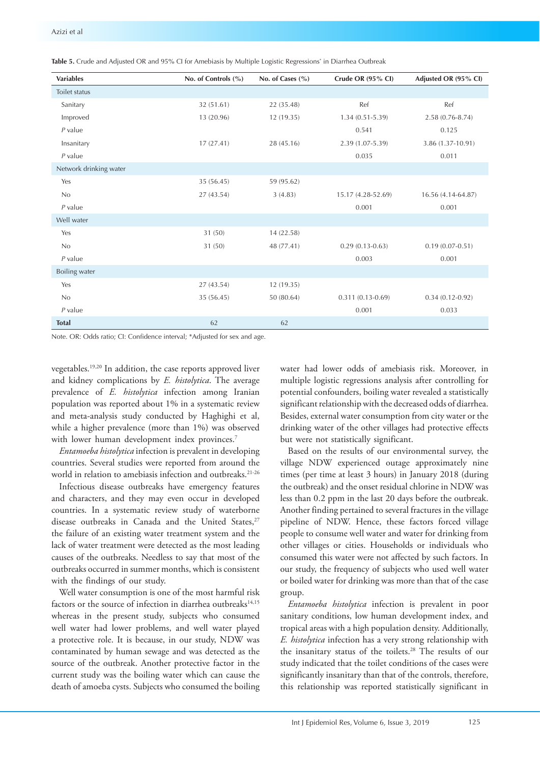| <b>Variables</b>       | No. of Controls (%) | No. of Cases $(\% )$ | Crude OR (95% CI)   | Adjusted OR (95% CI) |
|------------------------|---------------------|----------------------|---------------------|----------------------|
| Toilet status          |                     |                      |                     |                      |
| Sanitary               | 32 (51.61)          | 22 (35.48)           | Ref                 | Ref                  |
| Improved               | 13 (20.96)          | 12 (19.35)           | $1.34(0.51 - 5.39)$ | 2.58 (0.76-8.74)     |
| $P$ value              |                     |                      | 0.541               | 0.125                |
| Insanitary             | 17(27.41)           | 28 (45.16)           | 2.39 (1.07-5.39)    | 3.86 (1.37-10.91)    |
| $P$ value              |                     |                      | 0.035               | 0.011                |
| Network drinking water |                     |                      |                     |                      |
| Yes                    | 35 (56.45)          | 59 (95.62)           |                     |                      |
| No                     | 27 (43.54)          | 3(4.83)              | 15.17 (4.28-52.69)  | 16.56 (4.14-64.87)   |
| $P$ value              |                     |                      | 0.001               | 0.001                |
| Well water             |                     |                      |                     |                      |
| Yes                    | 31(50)              | 14 (22.58)           |                     |                      |
| No                     | 31 (50)             | 48 (77.41)           | $0.29(0.13 - 0.63)$ | $0.19(0.07 - 0.51)$  |
| $P$ value              |                     |                      | 0.003               | 0.001                |
| Boiling water          |                     |                      |                     |                      |
| Yes                    | 27 (43.54)          | 12 (19.35)           |                     |                      |
| No                     | 35 (56.45)          | 50 (80.64)           | $0.311(0.13-0.69)$  | $0.34(0.12 - 0.92)$  |
| $P$ value              |                     |                      | 0.001               | 0.033                |
| <b>Total</b>           | 62                  | 62                   |                     |                      |

**Table 5.** Crude and Adjusted OR and 95% CI for Amebiasis by Multiple Logistic Regressions\* in Diarrhea Outbreak

Note. OR: Odds ratio; CI: Confidence interval; \*Adjusted for sex and age.

vegetables.19,20 In addition, the case reports approved liver and kidney complications by *E. histolytica*. The average prevalence of *E. histolytica* infection among Iranian population was reported about 1% in a systematic review and meta-analysis study conducted by Haghighi et al, while a higher prevalence (more than 1%) was observed with lower human development index provinces.<sup>7</sup>

*Entamoeba histolytica* infection is prevalent in developing countries. Several studies were reported from around the world in relation to amebiasis infection and outbreaks.<sup>21-26</sup>

Infectious disease outbreaks have emergency features and characters, and they may even occur in developed countries. In a systematic review study of waterborne disease outbreaks in Canada and the United States. $27$ the failure of an existing water treatment system and the lack of water treatment were detected as the most leading causes of the outbreaks. Needless to say that most of the outbreaks occurred in summer months, which is consistent with the findings of our study.

Well water consumption is one of the most harmful risk factors or the source of infection in diarrhea outbreaks<sup>14,15</sup> whereas in the present study, subjects who consumed well water had lower problems, and well water played a protective role. It is because, in our study, NDW was contaminated by human sewage and was detected as the source of the outbreak. Another protective factor in the current study was the boiling water which can cause the death of amoeba cysts. Subjects who consumed the boiling water had lower odds of amebiasis risk. Moreover, in multiple logistic regressions analysis after controlling for potential confounders, boiling water revealed a statistically significant relationship with the decreased odds of diarrhea. Besides, external water consumption from city water or the drinking water of the other villages had protective effects but were not statistically significant.

Based on the results of our environmental survey, the village NDW experienced outage approximately nine times (per time at least 3 hours) in January 2018 (during the outbreak) and the onset residual chlorine in NDW was less than 0.2 ppm in the last 20 days before the outbreak. Another finding pertained to several fractures in the village pipeline of NDW. Hence, these factors forced village people to consume well water and water for drinking from other villages or cities. Households or individuals who consumed this water were not affected by such factors. In our study, the frequency of subjects who used well water or boiled water for drinking was more than that of the case group.

*Entamoeba histolytica* infection is prevalent in poor sanitary conditions, low human development index, and tropical areas with a high population density. Additionally, *E. histolytica* infection has a very strong relationship with the insanitary status of the toilets.28 The results of our study indicated that the toilet conditions of the cases were significantly insanitary than that of the controls, therefore, this relationship was reported statistically significant in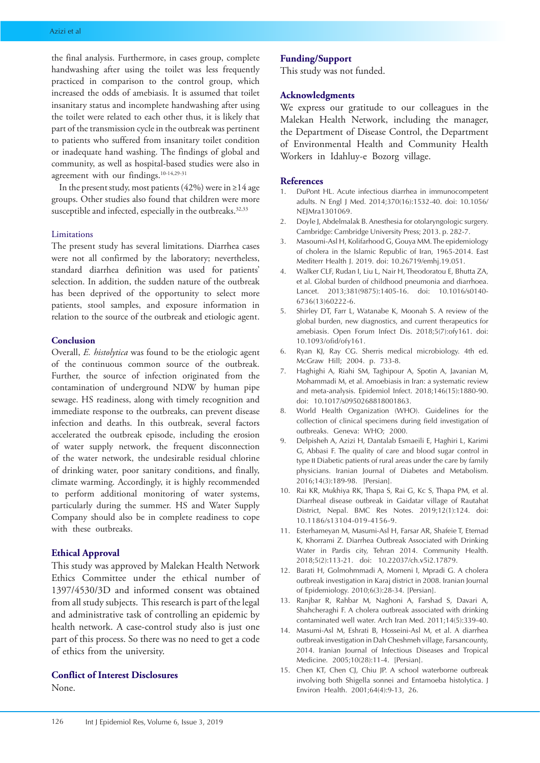the final analysis. Furthermore, in cases group, complete handwashing after using the toilet was less frequently practiced in comparison to the control group, which increased the odds of amebiasis. It is assumed that toilet insanitary status and incomplete handwashing after using the toilet were related to each other thus, it is likely that part of the transmission cycle in the outbreak was pertinent to patients who suffered from insanitary toilet condition or inadequate hand washing. The findings of global and community, as well as hospital-based studies were also in agreement with our findings.10-14,29-31

In the present study, most patients (42%) were in ≥14 age groups. Other studies also found that children were more susceptible and infected, especially in the outbreaks.<sup>32,33</sup>

## Limitations

The present study has several limitations. Diarrhea cases were not all confirmed by the laboratory; nevertheless, standard diarrhea definition was used for patients' selection. In addition, the sudden nature of the outbreak has been deprived of the opportunity to select more patients, stool samples, and exposure information in relation to the source of the outbreak and etiologic agent.

## **Conclusion**

Overall, *E. histolytica* was found to be the etiologic agent of the continuous common source of the outbreak. Further, the source of infection originated from the contamination of underground NDW by human pipe sewage. HS readiness, along with timely recognition and immediate response to the outbreaks, can prevent disease infection and deaths. In this outbreak, several factors accelerated the outbreak episode, including the erosion of water supply network, the frequent disconnection of the water network, the undesirable residual chlorine of drinking water, poor sanitary conditions, and finally, climate warming. Accordingly, it is highly recommended to perform additional monitoring of water systems, particularly during the summer. HS and Water Supply Company should also be in complete readiness to cope with these outbreaks.

#### **Ethical Approval**

This study was approved by Malekan Health Network Ethics Committee under the ethical number of 1397/4530/3D and informed consent was obtained from all study subjects. This research is part of the legal and administrative task of controlling an epidemic by health network. A case-control study also is just one part of this process. So there was no need to get a code of ethics from the university.

## **Conflict of Interest Disclosures**

None.

## **Funding/Support**

This study was not funded.

## **Acknowledgments**

We express our gratitude to our colleagues in the Malekan Health Network, including the manager, the Department of Disease Control, the Department of Environmental Health and Community Health Workers in Idahluy-e Bozorg village.

### **References**

- 1. DuPont HL. Acute infectious diarrhea in immunocompetent adults. N Engl J Med. 2014;370(16):1532-40. doi: 10.1056/ NEJMra1301069.
- 2. Doyle J, Abdelmalak B. Anesthesia for otolaryngologic surgery. Cambridge: Cambridge University Press; 2013. p. 282-7.
- 3. Masoumi-Asl H, Kolifarhood G, Gouya MM. The epidemiology of cholera in the Islamic Republic of Iran, 1965-2014. East Mediterr Health J. 2019. doi: 10.26719/emhj.19.051.
- 4. Walker CLF, Rudan I, Liu L, Nair H, Theodoratou E, Bhutta ZA, et al. Global burden of childhood pneumonia and diarrhoea. Lancet. 2013;381(9875):1405-16. doi: 10.1016/s0140- 6736(13)60222-6.
- 5. Shirley DT, Farr L, Watanabe K, Moonah S. A review of the global burden, new diagnostics, and current therapeutics for amebiasis. Open Forum Infect Dis. 2018;5(7):ofy161. doi: 10.1093/ofid/ofy161.
- 6. Ryan KJ, Ray CG. Sherris medical microbiology. 4th ed. McGraw Hill; 2004. p. 733-8.
- 7. Haghighi A, Riahi SM, Taghipour A, Spotin A, Javanian M, Mohammadi M, et al. Amoebiasis in Iran: a systematic review and meta-analysis. Epidemiol Infect. 2018;146(15):1880-90. doi: 10.1017/s0950268818001863.
- 8. World Health Organization (WHO). Guidelines for the collection of clinical specimens during field investigation of outbreaks. Geneva: WHO; 2000.
- 9. Delpisheh A, Azizi H, Dantalab Esmaeili E, Haghiri L, Karimi G, Abbasi F. The quality of care and blood sugar control in type ΙΙ Diabetic patients of rural areas under the care by family physicians. Iranian Journal of Diabetes and Metabolism. 2016;14(3):189-98. [Persian].
- 10. Rai KR, Mukhiya RK, Thapa S, Rai G, Kc S, Thapa PM, et al. Diarrheal disease outbreak in Gaidatar village of Rautahat District, Nepal. BMC Res Notes. 2019;12(1):124. doi: 10.1186/s13104-019-4156-9.
- 11. Esterhameyan M, Masumi-Asl H, Farsar AR, Shafeie T, Etemad K, Khorrami Z. Diarrhea Outbreak Associated with Drinking Water in Pardis city, Tehran 2014. Community Health. 2018;5(2):113-21. doi: 10.22037/ch.v5i2.17879.
- 12. Barati H, Golmohmmadi A, Momeni I, Mpradi G. A cholera outbreak investigation in Karaj district in 2008. Iranian Journal of Epidemiology. 2010;6(3):28-34. [Persian].
- 13. Ranjbar R, Rahbar M, Naghoni A, Farshad S, Davari A, Shahcheraghi F. A cholera outbreak associated with drinking contaminated well water. Arch Iran Med. 2011;14(5):339-40.
- 14. Masumi-Asl M, Eshrati B, Hosseini-Asl M, et al. A diarrhea outbreak investigation in Dah Cheshmeh village, Farsancounty, 2014. Iranian Journal of Infectious Diseases and Tropical Medicine. 2005;10(28):11-4. [Persian].
- 15. Chen KT, Chen CJ, Chiu JP. A school waterborne outbreak involving both Shigella sonnei and Entamoeba histolytica. J Environ Health. 2001;64(4):9-13, 26.